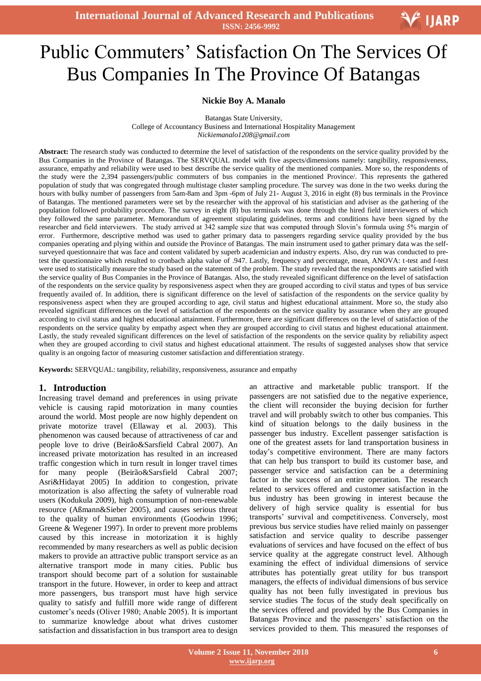# Ξ Public Commuters' Satisfaction On The Services Of Bus Companies In The Province Of Batangas

#### **Nickie Boy A. Manalo**

Batangas State University, College of Accountancy Business and International Hospitality Management *Nickiemanalo1208@gmail.com*

**Abstract:** The research study was conducted to determine the level of satisfaction of the respondents on the service quality provided by the Bus Companies in the Province of Batangas. The SERVQUAL model with five aspects/dimensions namely: tangibility, responsiveness, assurance, empathy and reliability were used to best describe the service quality of the mentioned companies. More so, the respondents of the study were the 2,394 passengers/public commuters of bus companies in the mentioned Province/. This represents the gathered population of study that was congregated through multistage cluster sampling procedure. The survey was done in the two weeks during the hours with bulky number of passengers from 5am-8am and 3pm -6pm of July 21- August 3, 2016 in eight (8) bus terminals in the Province of Batangas. The mentioned parameters were set by the researcher with the approval of his statistician and adviser as the gathering of the population followed probability procedure. The survey in eight (8) bus terminals was done through the hired field interviewers of which they followed the same parameter. Memorandum of agreement stipulating guidelines, terms and conditions have been signed by the researcher and field interviewers. The study arrived at 342 sample size that was computed through Slovin's formula using 5% margin of error. Furthermore, descriptive method was used to gather primary data to passengers regarding service quality provided by the bus companies operating and plying within and outside the Province of Batangas. The main instrument used to gather primary data was the selfsurveyed questionnaire that was face and content validated by superb academician and industry experts. Also, dry run was conducted to pretest the questionnaire which resulted to cronbach alpha value of .947. Lastly, frequency and percentage, mean, ANOVA: t-test and f-test were used to statistically measure the study based on the statement of the problem. The study revealed that the respondents are satisfied with the service quality of Bus Companies in the Province of Batangas. Also, the study revealed significant difference on the level of satisfaction of the respondents on the service quality by responsiveness aspect when they are grouped according to civil status and types of bus service frequently availed of. In addition, there is significant difference on the level of satisfaction of the respondents on the service quality by responsiveness aspect when they are grouped according to age, civil status and highest educational attainment. More so, the study also revealed significant differences on the level of satisfaction of the respondents on the service quality by assurance when they are grouped according to civil status and highest educational attainment. Furthermore, there are significant differences on the level of satisfaction of the respondents on the service quality by empathy aspect when they are grouped according to civil status and highest educational attainment. Lastly, the study revealed significant differences on the level of satisfaction of the respondents on the service quality by reliability aspect when they are grouped according to civil status and highest educational attainment. The results of suggested analyses show that service quality is an ongoing factor of measuring customer satisfaction and differentiation strategy.

**Keywords:** SERVQUAL: tangibility, reliability, responsiveness, assurance and empathy

#### **1. Introduction**

Increasing travel demand and preferences in using private vehicle is causing rapid motorization in many counties around the world. Most people are now highly dependent on private motorize travel (Ellaway et al. 2003). This phenomenon was caused because of attractiveness of car and people love to drive (Beirão&Sarsfield Cabral 2007). An increased private motorization has resulted in an increased traffic congestion which in turn result in longer travel times for many people (Beirão&Sarsfield Cabral 2007; Asri&Hidayat 2005) In addition to congestion, private motorization is also affecting the safety of vulnerable road users (Kodukula 2009), high consumption of non-renewable resource (Aßmann&Sieber 2005), and causes serious threat to the quality of human environments (Goodwin 1996; Greene & Wegener 1997). In order to prevent more problems caused by this increase in motorization it is highly recommended by many researchers as well as public decision makers to provide an attractive public transport service as an alternative transport mode in many cities. Public bus transport should become part of a solution for sustainable transport in the future. However, in order to keep and attract more passengers, bus transport must have high service quality to satisfy and fulfill more wide range of different customer's needs (Oliver 1980; Anable 2005). It is important to summarize knowledge about what drives customer satisfaction and dissatisfaction in bus transport area to design

an attractive and marketable public transport. If the passengers are not satisfied due to the negative experience, the client will reconsider the buying decision for further travel and will probably switch to other bus companies. This kind of situation belongs to the daily business in the passenger bus industry. Excellent passenger satisfaction is one of the greatest assets for land transportation business in today's competitive environment. There are many factors that can help bus transport to build its customer base, and passenger service and satisfaction can be a determining factor in the success of an entire operation. The research related to services offered and customer satisfaction in the bus industry has been growing in interest because the delivery of high service quality is essential for bus transports' survival and competitiveness. Conversely, most previous bus service studies have relied mainly on passenger satisfaction and service quality to describe passenger evaluations of services and have focused on the effect of bus service quality at the aggregate construct level. Although examining the effect of individual dimensions of service attributes has potentially great utility for bus transport managers, the effects of individual dimensions of bus service quality has not been fully investigated in previous bus service studies The focus of the study dealt specifically on the services offered and provided by the Bus Companies in Batangas Province and the passengers' satisfaction on the services provided to them. This measured the responses of

V IJARP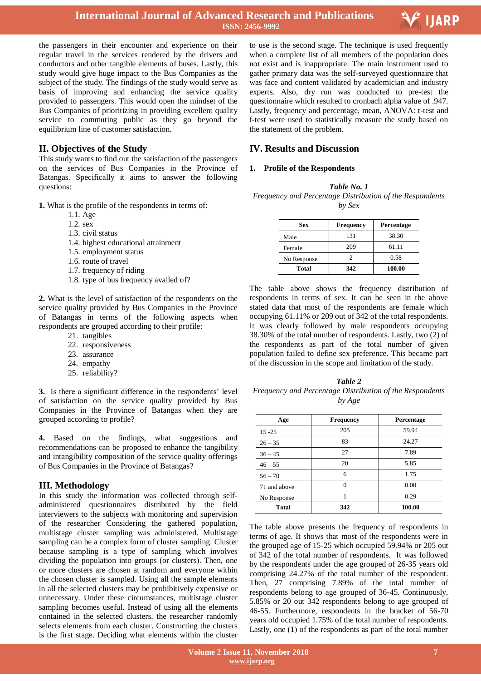

the passengers in their encounter and experience on their regular travel in the services rendered by the drivers and conductors and other tangible elements of buses. Lastly, this study would give huge impact to the Bus Companies as the subject of the study. The findings of the study would serve as basis of improving and enhancing the service quality provided to passengers. This would open the mindset of the Bus Companies of prioritizing in providing excellent quality service to commuting public as they go beyond the equilibrium line of customer satisfaction.

## **II. Objectives of the Study**

This study wants to find out the satisfaction of the passengers on the services of Bus Companies in the Province of Batangas. Specifically it aims to answer the following questions:

**1.** What is the profile of the respondents in terms of:

- 1.1. Age
- 1.2. sex
- 1.3. civil status
- 1.4. highest educational attainment
- 1.5. employment status
- 1.6. route of travel
- 1.7. frequency of riding
- 1.8. type of bus frequency availed of?

**2.** What is the level of satisfaction of the respondents on the service quality provided by Bus Companies in the Province of Batangas in terms of the following aspects when respondents are grouped according to their profile:

- 21. tangibles
- 22. responsiveness
- 23. assurance
- 24. empathy
- 25. reliability?

**3.** Is there a significant difference in the respondents' level of satisfaction on the service quality provided by Bus Companies in the Province of Batangas when they are grouped according to profile?

**4.** Based on the findings, what suggestions and recommendations can be proposed to enhance the tangibility and intangibility composition of the service quality offerings of Bus Companies in the Province of Batangas?

#### **III. Methodology**

In this study the information was collected through selfadministered questionnaires distributed by the field interviewers to the subjects with monitoring and supervision of the researcher Considering the gathered population, multistage cluster sampling was administered. Multistage sampling can be a complex form of cluster sampling. Cluster because sampling is a type of sampling which involves dividing the population into groups (or clusters). Then, one or more clusters are chosen at random and everyone within the chosen cluster is sampled. Using all the sample elements in all the selected clusters may be prohibitively expensive or unnecessary. Under these circumstances, multistage cluster sampling becomes useful. Instead of using all the elements contained in the selected clusters, the researcher randomly selects elements from each cluster. Constructing the clusters is the first stage. Deciding what elements within the cluster

 to use is the second stage. The technique is used frequently when a complete list of all members of the population does not exist and is inappropriate. The main instrument used to gather primary data was the self-surveyed questionnaire that was face and content validated by academician and industry experts. Also, dry run was conducted to pre-test the questionnaire which resulted to cronbach alpha value of .947. Lastly, frequency and percentage, mean, ANOVA: t-test and f-test were used to statistically measure the study based on the statement of the problem.

### **IV. Results and Discussion**

#### **1. Profile of the Respondents**

#### *Table No. 1*

*Frequency and Percentage Distribution of the Respondents by Sex*

| Sex          | <b>Frequency</b> | Percentage |  |  |
|--------------|------------------|------------|--|--|
| Male         | 131              | 38.30      |  |  |
| Female       | 209              | 61.11      |  |  |
| No Response  |                  | 0.58       |  |  |
| <b>Total</b> | 342              | 100.00     |  |  |

The table above shows the frequency distribution of respondents in terms of sex. It can be seen in the above stated data that most of the respondents are female which occupying 61.11% or 209 out of 342 of the total respondents. It was clearly followed by male respondents occupying 38.30% of the total number of respondents. Lastly, two (2) of the respondents as part of the total number of given population failed to define sex preference. This became part of the discussion in the scope and limitation of the study.

*Table 2 Frequency and Percentage Distribution of the Respondents by Age*

| Age          | <b>Frequency</b> | Percentage |
|--------------|------------------|------------|
| $15 - 25$    | 205              | 59.94      |
| $26 - 35$    | 83               | 24.27      |
| $36 - 45$    | 27               | 7.89       |
| $46 - 55$    | 20               | 5.85       |
| $56 - 70$    | 6                | 1.75       |
| 71 and above | 0                | 0.00       |
| No Response  |                  | 0.29       |
| <b>Total</b> | 342              | 100.00     |

The table above presents the frequency of respondents in terms of age. It shows that most of the respondents were in the grouped age of 15-25 which occupied 59.94% or 205 out of 342 of the total number of respondents. It was followed by the respondents under the age grouped of 26-35 years old comprising 24.27% of the total number of the respondent. Then, 27 comprising 7.89% of the total number of respondents belong to age grouped of 36-45. Continuously, 5.85% or 20 out 342 respondents belong to age grouped of 46-55. Furthermore, respondents in the bracket of 56-70 years old occupied 1.75% of the total number of respondents. Lastly, one (1) of the respondents as part of the total number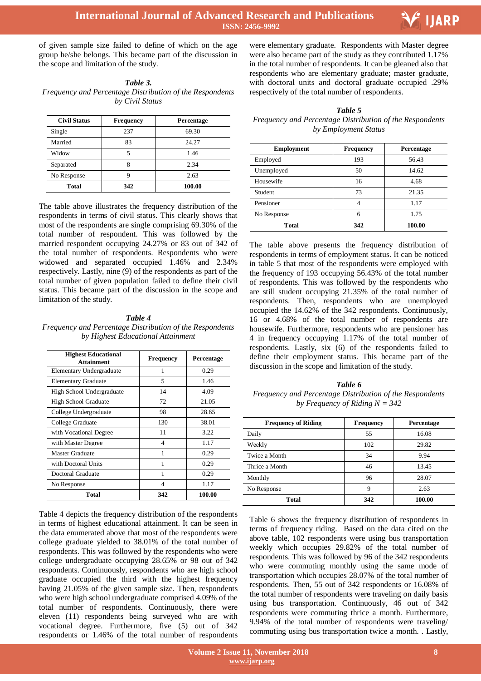

of given sample size failed to define of which on the age group he/she belongs. This became part of the discussion in the scope and limitation of the study.

| Table 3.                                                 |
|----------------------------------------------------------|
| Frequency and Percentage Distribution of the Respondents |
| by Civil Status                                          |

| <b>Civil Status</b> | Frequency | Percentage |
|---------------------|-----------|------------|
| Single              | 237       | 69.30      |
| Married             | 83        | 24.27      |
| Widow               |           | 1.46       |
| Separated           | 8         | 2.34       |
| No Response         |           | 2.63       |
| Total               | 342       | 100.00     |

The table above illustrates the frequency distribution of the respondents in terms of civil status. This clearly shows that most of the respondents are single comprising 69.30% of the total number of respondent. This was followed by the married respondent occupying 24.27% or 83 out of 342 of the total number of respondents. Respondents who were widowed and separated occupied 1.46% and 2.34% respectively. Lastly, nine (9) of the respondents as part of the total number of given population failed to define their civil status. This became part of the discussion in the scope and limitation of the study.

## *Table 4*

*Frequency and Percentage Distribution of the Respondents by Highest Educational Attainment*

| <b>Highest Educational</b><br><b>Attainment</b> | <b>Frequency</b> | Percentage |  |  |
|-------------------------------------------------|------------------|------------|--|--|
| Elementary Undergraduate                        | 1                | 0.29       |  |  |
| <b>Elementary Graduate</b>                      | 5                | 1.46       |  |  |
| High School Undergraduate                       | 14               | 4.09       |  |  |
| High School Graduate                            | 72               | 21.05      |  |  |
| College Undergraduate                           | 98               | 28.65      |  |  |
| College Graduate                                | 130              | 38.01      |  |  |
| with Vocational Degree                          | 11               | 3.22       |  |  |
| with Master Degree                              | 4                | 1.17       |  |  |
| Master Graduate                                 | 1                | 0.29       |  |  |
| with Doctoral Units                             | 1                | 0.29       |  |  |
| Doctoral Graduate                               |                  | 0.29       |  |  |
| No Response                                     | 4                | 1.17       |  |  |
| <b>Total</b>                                    | 342              | 100.00     |  |  |

Table 4 depicts the frequency distribution of the respondents in terms of highest educational attainment. It can be seen in the data enumerated above that most of the respondents were college graduate yielded to 38.01% of the total number of respondents. This was followed by the respondents who were college undergraduate occupying 28.65% or 98 out of 342 respondents. Continuously, respondents who are high school graduate occupied the third with the highest frequency having 21.05% of the given sample size. Then, respondents who were high school undergraduate comprised 4.09% of the total number of respondents. Continuously, there were eleven (11) respondents being surveyed who are with vocational degree. Furthermore, five (5) out of 342 respondents or 1.46% of the total number of respondents

 were elementary graduate. Respondents with Master degree were also became part of the study as they contributed 1.17% in the total number of respondents. It can be gleaned also that respondents who are elementary graduate; master graduate, with doctoral units and doctoral graduate occupied .29% respectively of the total number of respondents.

#### *Table 5*

#### *Frequency and Percentage Distribution of the Respondents by Employment Status*

| <b>Employment</b> | <b>Frequency</b> | Percentage |
|-------------------|------------------|------------|
| Employed          | 193              | 56.43      |
| Unemployed        | 50               | 14.62      |
| Housewife         | 16               | 4.68       |
| Student           | 73               | 21.35      |
| Pensioner         | 4                | 1.17       |
| No Response       | 6                | 1.75       |
| Total             | 342              | 100.00     |

The table above presents the frequency distribution of respondents in terms of employment status. It can be noticed in table 5 that most of the respondents were employed with the frequency of 193 occupying 56.43% of the total number of respondents. This was followed by the respondents who are still student occupying 21.35% of the total number of respondents. Then, respondents who are unemployed occupied the 14.62% of the 342 respondents. Continuously, 16 or 4.68% of the total number of respondents are housewife. Furthermore, respondents who are pensioner has 4 in frequency occupying 1.17% of the total number of respondents. Lastly, six (6) of the respondents failed to define their employment status. This became part of the discussion in the scope and limitation of the study.

*Table 6 Frequency and Percentage Distribution of the Respondents by Frequency of Riding N = 342*

| <b>Frequency of Riding</b> | <b>Frequency</b> | Percentage |  |  |
|----------------------------|------------------|------------|--|--|
| Daily                      | 55               | 16.08      |  |  |
| Weekly                     | 102              | 29.82      |  |  |
| Twice a Month              | 34               | 9.94       |  |  |
| Thrice a Month             | 46               | 13.45      |  |  |
| Monthly                    | 96               | 28.07      |  |  |
| No Response                | 9                | 2.63       |  |  |
| <b>Total</b>               | 342              | 100.00     |  |  |

Table 6 shows the frequency distribution of respondents in terms of frequency riding. Based on the data cited on the above table, 102 respondents were using bus transportation weekly which occupies 29.82% of the total number of respondents. This was followed by 96 of the 342 respondents who were commuting monthly using the same mode of transportation which occupies 28.07% of the total number of respondents. Then, 55 out of 342 respondents or 16.08% of the total number of respondents were traveling on daily basis using bus transportation. Continuously, 46 out of 342 respondents were commuting thrice a month. Furthermore, 9.94% of the total number of respondents were traveling/ commuting using bus transportation twice a month. . Lastly,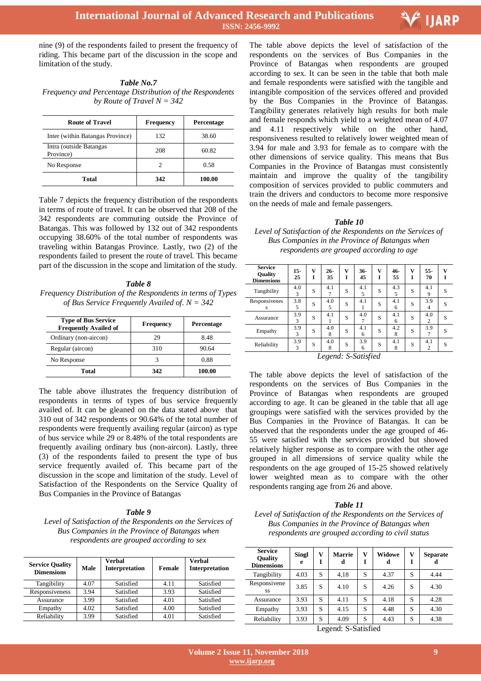

nine (9) of the respondents failed to present the frequency of riding. This became part of the discussion in the scope and limitation of the study.

| Table No.7                                               |
|----------------------------------------------------------|
| Frequency and Percentage Distribution of the Respondents |
| by Route of Travel $N = 342$                             |

| <b>Route of Travel</b>               | <b>Frequency</b> | Percentage |
|--------------------------------------|------------------|------------|
| Inter (within Batangas Province)     | 132              | 38.60      |
| Intra (outside Batangas<br>Province) | 208              | 60.82      |
| No Response                          | 2                | 0.58       |
| Total                                | 342              | 100.00     |

Table 7 depicts the frequency distribution of the respondents in terms of route of travel. It can be observed that 208 of the 342 respondents are commuting outside the Province of Batangas. This was followed by 132 out of 342 respondents occupying 38.60% of the total number of respondents was traveling within Batangas Province. Lastly, two (2) of the respondents failed to present the route of travel. This became part of the discussion in the scope and limitation of the study.

*Table 8 Frequency Distribution of the Respondents in terms of Types of Bus Service Frequently Availed of. N = 342*

| <b>Type of Bus Service</b><br><b>Frequently Availed of</b> | <b>Frequency</b> | Percentage |  |  |
|------------------------------------------------------------|------------------|------------|--|--|
| Ordinary (non-aircon)                                      | 29               | 8.48       |  |  |
| Regular (aircon)                                           | 310              | 90.64      |  |  |
| No Response                                                |                  | 0.88       |  |  |
| Total                                                      | 342              | 100.00     |  |  |

The table above illustrates the frequency distribution of respondents in terms of types of bus service frequently availed of. It can be gleaned on the data stated above that 310 out of 342 respondents or 90.64% of the total number of respondents were frequently availing regular (aircon) as type of bus service while 29 or 8.48% of the total respondents are frequently availing ordinary bus (non-aircon). Lastly, three (3) of the respondents failed to present the type of bus service frequently availed of. This became part of the discussion in the scope and limitation of the study. Level of Satisfaction of the Respondents on the Service Quality of Bus Companies in the Province of Batangas

#### *Table 9*

*Level of Satisfaction of the Respondents on the Services of Bus Companies in the Province of Batangas when respondents are grouped according to sex*

| <b>Service Quality</b><br><b>Dimensions</b> | Male | Verbal<br>Interpretation | Female | Verbal<br><b>Interpretation</b> |
|---------------------------------------------|------|--------------------------|--------|---------------------------------|
| Tangibility                                 | 4.07 | Satisfied                | 4.11   | Satisfied                       |
| Responsiveness                              | 3.94 | Satisfied                | 3.93   | Satisfied                       |
| Assurance                                   | 3.99 | Satisfied                | 4.01   | Satisfied                       |
| Empathy                                     | 4.02 | Satisfied                | 4.00   | Satisfied                       |
| Reliability                                 | 3.99 | Satisfied                | 4.01   | Satisfied                       |

 The table above depicts the level of satisfaction of the respondents on the services of Bus Companies in the Province of Batangas when respondents are grouped according to sex. It can be seen in the table that both male and female respondents were satisfied with the tangible and intangible composition of the services offered and provided by the Bus Companies in the Province of Batangas. Tangibility generates relatively high results for both male and female responds which yield to a weighted mean of 4.07 and 4.11 respectively while on the other hand, responsiveness resulted to relatively lower weighted mean of 3.94 for male and 3.93 for female as to compare with the other dimensions of service quality. This means that Bus Companies in the Province of Batangas must consistently maintain and improve the quality of the tangibility composition of services provided to public commuters and train the drivers and conductors to become more responsive on the needs of male and female passengers.

#### *Table 10*

*Level of Satisfaction of the Respondents on the Services of Bus Companies in the Province of Batangas when respondents are grouped according to age*

| <b>Service</b><br><b>Ouality</b><br><b>Dimensions</b> | $15-$<br>25                             | v | $26 -$<br>35 | v<br>Ī | $36-$<br>45 | v<br>Ī | 46-<br>55 | v<br>Ī | 55-<br>70             | v |
|-------------------------------------------------------|-----------------------------------------|---|--------------|--------|-------------|--------|-----------|--------|-----------------------|---|
| Tangibility                                           | 4.0<br>3                                | S | 4.1          | S      | 4.1<br>5    | S      | 4.3<br>5  | S      | 4.1<br>9              | S |
| Responsivenes<br>s                                    | 3.8<br>5                                | S | 4.0<br>5     | S      | 4.1         | S      | 4.1<br>6  | S      | 3.9<br>4              | S |
| Assurance                                             | 3.9<br>3                                | S | 4.1          | S      | 4.0<br>7    | S      | 4.1<br>6  | S      | 4.0<br>2              | S |
| Empathy                                               | 3.9<br>3                                | S | 4.0<br>8     | S      | 4.1<br>6    | S      | 4.2<br>8  | S      | 3.9<br>$\overline{7}$ | S |
| Reliability                                           | 3.9<br>3                                | S | 4.0<br>8     | S      | 3.9<br>6    | S      | 4.1<br>8  | S      | 4.1<br>$\overline{2}$ | S |
|                                                       | $I_{\text{non-}d}$ , $I_{\text{non-}d}$ |   |              |        |             |        |           |        |                       |   |

*Legend: S-Satisfied*

The table above depicts the level of satisfaction of the respondents on the services of Bus Companies in the Province of Batangas when respondents are grouped according to age. It can be gleaned in the table that all age groupings were satisfied with the services provided by the Bus Companies in the Province of Batangas. It can be observed that the respondents under the age grouped of 46- 55 were satisfied with the services provided but showed relatively higher response as to compare with the other age grouped in all dimensions of service quality while the respondents on the age grouped of 15-25 showed relatively lower weighted mean as to compare with the other respondents ranging age from 26 and above.

#### *Table 11*

*Level of Satisfaction of the Respondents on the Services of Bus Companies in the Province of Batangas when respondents are grouped according to civil status*

| <b>Service</b><br><b>Ouality</b><br><b>Dimensions</b> | <b>Singl</b><br>e | v | <b>Marrie</b><br>d | v | Widowe<br>d | V | <b>Separate</b><br>d |
|-------------------------------------------------------|-------------------|---|--------------------|---|-------------|---|----------------------|
| Tangibility                                           | 4.03              | S | 4,18               | S | 4.37        | S | 4.44                 |
| Responsivene<br>SS.                                   | 3.85              | S | 4.10               | S | 4.26        | S | 4.30                 |
| Assurance                                             | 3.93              | S | 4.11               | S | 4.18        | S | 4.28                 |
| Empathy                                               | 3.93              | S | 4.15               | S | 4.48        | S | 4.30                 |
| Reliability                                           | 3.93              | S | 4.09               | S | 4.43        | S | 4.38                 |

Legend: S-Satisfied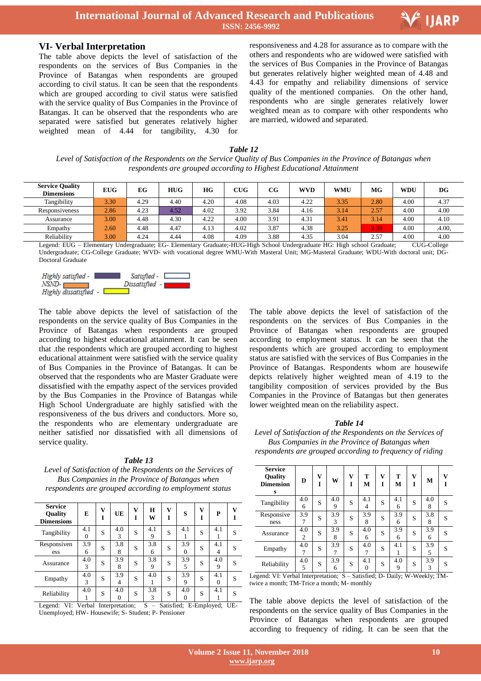

#### **VI- Verbal Interpretation**

The table above depicts the level of satisfaction of the respondents on the services of Bus Companies in the Province of Batangas when respondents are grouped according to civil status. It can be seen that the respondents which are grouped according to civil status were satisfied with the service quality of Bus Companies in the Province of Batangas. It can be observed that the respondents who are separated were satisfied but generates relatively higher weighted mean of 4.44 for tangibility, 4.30 for

 responsiveness and 4.28 for assurance as to compare with the others and respondents who are widowed were satisfied with the services of Bus Companies in the Province of Batangas but generates relatively higher weighted mean of 4.48 and 4.43 for empathy and reliability dimensions of service quality of the mentioned companies. On the other hand, respondents who are single generates relatively lower weighted mean as to compare with other respondents who are married, widowed and separated.

*Table 12 Level of Satisfaction of the Respondents on the Service Quality of Bus Companies in the Province of Batangas when respondents are grouped according to Highest Educational Attainment*

| <b>Service Quality</b><br><b>Dimensions</b> | <b>EUG</b> | EG   | <b>HUG</b> | HG   | CUG  | $_{\rm CG}$ | <b>WVD</b> | <b>WMU</b> | MG   | <b>WDU</b> | DG     |
|---------------------------------------------|------------|------|------------|------|------|-------------|------------|------------|------|------------|--------|
| Tangibility                                 | 3.30       | 4.29 | 4.40       | 4.20 | 4.08 | 4.03        | 4.22       | 3.35       | 2.80 | 4.00       | 4.37   |
| Responsiveness                              | 2.86       | 4.23 | 4.52       | 4.02 | 3.92 | 3.84        | 4.16       | 3.14       | 2.57 | 4.00       | 4.00   |
| Assurance                                   | 3.00       | 4.48 | 4.30       | 4.22 | 4.00 | 3.91        | 4.31       | 3.41       | 3.14 | 4.00       | 4.10   |
| Empathy                                     | 2.60       | 4.48 | 4.47       | 4.13 | 4.02 | 3.87        | 4.38       | 3.25       | 2.20 | 4.00       | .4.00. |
| Reliability                                 | 3.00       | 4.24 | 4.44       | 4.08 | 4.09 | 3.88        | 4.35       | 3.04       | 2.57 | 4.00       | 4.00   |

Legend: EUG – Elementary Undergraduate; EG- Elementary Graduate;-HUG-High School Undergraduate HG: High school Graduate; CUG-College Undergraduate; CG-College Graduate; WVD- with vocational degree WMU-With Masteral Unit; MG-Masteral Graduate; WDU-With doctoral unit; DG-Doctoral Graduate



The table above depicts the level of satisfaction of the respondents on the service quality of Bus Companies in the Province of Batangas when respondents are grouped according to highest educational attainment. It can be seen that .the respondents which are grouped according to highest educational attainment were satisfied with the service quality of Bus Companies in the Province of Batangas. It can be observed that the respondents who are Master Graduate were dissatisfied with the empathy aspect of the services provided by the Bus Companies in the Province of Batangas while High School Undergraduate are highly satisfied with the responsiveness of the bus drivers and conductors. More so, the respondents who are elementary undergraduate are neither satisfied nor dissatisfied with all dimensions of service quality.

*Table 13 Level of Satisfaction of the Respondents on the Services of Bus Companies in the Province of Batangas when respondents are grouped according to employment status*

| <b>Service</b><br><b>Ouality</b><br><b>Dimensions</b> | E               | v | UE       | v<br>Ī | H<br>W   | v<br>T | S        | v | P        | v |
|-------------------------------------------------------|-----------------|---|----------|--------|----------|--------|----------|---|----------|---|
| Tangibility                                           | 4.1<br>$\Omega$ | S | 4.0<br>3 | S      | 4.1<br>9 | S      | 4.1      | S | 4.1      | S |
| Responsiven<br>ess                                    | 3.9<br>6        | S | 3.8<br>8 | S      | 3.8<br>6 | S      | 3.9<br>0 | S | 4.1<br>4 | S |
| Assurance                                             | 4.0<br>3        | S | 3.9<br>8 | S      | 3.8<br>9 | S      | 3.9<br>5 | S | 4.0<br>9 | S |
| Empathy                                               | 4.0<br>3        | S | 3.9<br>4 | S      | 4.0      | S      | 3.9<br>9 | S | 4.1<br>0 | S |
| Reliability                                           | 4.0             | S | 4.0      | S      | 3.8<br>3 | S      | 4.0      | S | 4.1      | S |

Legend: VI: Verbal Interpretation; S – Satisfied; E-Employed; UE-Unemployed; HW- Housewife; S- Student; P- Pensioner

The table above depicts the level of satisfaction of the respondents on the services of Bus Companies in the Province of Batangas when respondents are grouped according to employment status. It can be seen that the respondents which are grouped according to employment status are satisfied with the services of Bus Companies in the Province of Batangas. Respondents whom are housewife depicts relatively higher weighted mean of 4.19 to the tangibility composition of services provided by the Bus Companies in the Province of Batangas but then generates lower weighted mean on the reliability aspect.

#### *Table 14*

*Level of Satisfaction of the Respondents on the Services of Bus Companies in the Province of Batangas when respondents are grouped according to frequency of riding*

| <b>Service</b><br><b>Ouality</b><br><b>Dimension</b><br>s | D        | v | W        | v<br>T | т<br>М   | v<br>I | т<br>м   | v<br>Ī | М        | v |
|-----------------------------------------------------------|----------|---|----------|--------|----------|--------|----------|--------|----------|---|
| Tangibility                                               | 4.0<br>6 | S | 4.0<br>9 | S      | 4.1<br>4 | S      | 4.1<br>6 | S      | 4.0<br>8 | S |
| Responsive<br>ness                                        | 3.9<br>7 | S | 3.9<br>3 | S      | 3.9<br>8 | S      | 3.9<br>6 | S      | 3.8<br>8 | S |
| Assurance                                                 | 4.0<br>2 | S | 3.9<br>8 | S      | 4.0<br>6 | S      | 3.9<br>6 | S      | 3.9<br>6 | S |
| Empathy                                                   | 4.0<br>7 | S | 3.9      | S      | 4.0<br>7 | S      | 4.1<br>1 | S      | 3.9<br>5 | S |
| Reliability                                               | 4.0<br>5 | S | 3.9<br>6 | S      | 4.1<br>0 | S      | 4.0<br>9 | S      | 3.9<br>3 | S |

Legend: VI: Verbal Interpretation; S – Satisfied; D- Daily; W-Weekly; TMtwice a month; TM-Trice a month; M- monthly

The table above depicts the level of satisfaction of the respondents on the service quality of Bus Companies in the Province of Batangas when respondents are grouped according to frequency of riding. It can be seen that the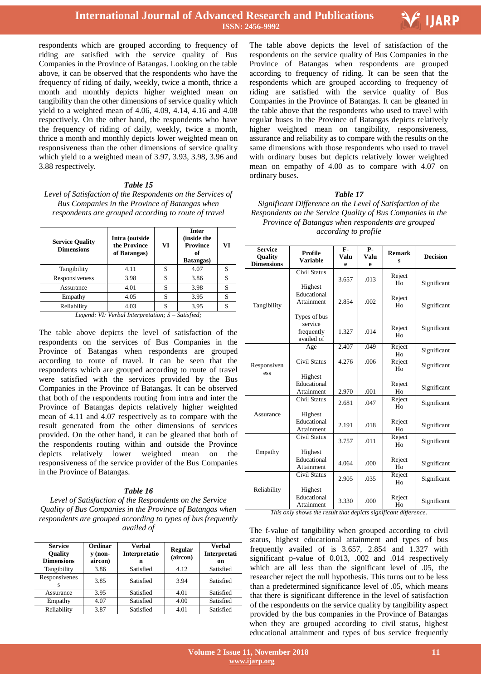

respondents which are grouped according to frequency of riding are satisfied with the service quality of Bus Companies in the Province of Batangas. Looking on the table above, it can be observed that the respondents who have the frequency of riding of daily, weekly, twice a month, thrice a month and monthly depicts higher weighted mean on tangibility than the other dimensions of service quality which yield to a weighted mean of 4.06, 4.09, 4.14, 4.16 and 4.08 respectively. On the other hand, the respondents who have the frequency of riding of daily, weekly, twice a month, thrice a month and monthly depicts lower weighted mean on responsiveness than the other dimensions of service quality which yield to a weighted mean of 3.97, 3.93, 3.98, 3.96 and 3.88 respectively.

#### *Table 15*

*Level of Satisfaction of the Respondents on the Services of Bus Companies in the Province of Batangas when respondents are grouped according to route of travel*

| <b>Service Quality</b><br><b>Dimensions</b> | Intra (outside<br>the Province<br>of Batangas) | VI | <b>Inter</b><br>(inside the<br><b>Province</b><br>of<br><b>Batangas</b> ) | VI |  |  |  |
|---------------------------------------------|------------------------------------------------|----|---------------------------------------------------------------------------|----|--|--|--|
| Tangibility                                 | 4.11                                           | S  | 4.07                                                                      |    |  |  |  |
| Responsiveness                              | 3.98                                           | S  | 3.86                                                                      |    |  |  |  |
| Assurance                                   | 4.01                                           | S  | 3.98                                                                      | S  |  |  |  |
| Empathy                                     | 4.05                                           | S  | 3.95                                                                      | S  |  |  |  |
| Reliability                                 | 4.03                                           | S  | 3.95                                                                      |    |  |  |  |
| T ITHTI IT. C<br>$\alpha$ $\alpha$ $\alpha$ |                                                |    |                                                                           |    |  |  |  |

*Legend: VI: Verbal Interpretation; S – Satisfied;*

The table above depicts the level of satisfaction of the respondents on the services of Bus Companies in the Province of Batangas when respondents are grouped according to route of travel. It can be seen that the respondents which are grouped according to route of travel were satisfied with the services provided by the Bus Companies in the Province of Batangas. It can be observed that both of the respondents routing from intra and inter the Province of Batangas depicts relatively higher weighted mean of 4.11 and 4.07 respectively as to compare with the result generated from the other dimensions of services provided. On the other hand, it can be gleaned that both of the respondents routing within and outside the Province depicts relatively lower weighted mean on the responsiveness of the service provider of the Bus Companies in the Province of Batangas.

#### *Table 16*

*Level of Satisfaction of the Respondents on the Service Quality of Bus Companies in the Province of Batangas when respondents are grouped according to types of bus frequently availed of*

| <b>Service</b><br><b>Ouality</b><br><b>Dimensions</b> | Ordinar<br>$\bf{v}$ (non-<br>aircon) | Verbal<br>Interpretatio<br>n |      | Verbal<br>Interpretati<br>on |
|-------------------------------------------------------|--------------------------------------|------------------------------|------|------------------------------|
| Tangibility                                           | 3.86                                 | Satisfied                    | 4.12 | Satisfied                    |
| Responsivenes                                         | 3.85                                 | Satisfied                    | 3.94 | Satisfied                    |
| Assurance                                             | 3.95                                 | Satisfied                    | 4.01 | Satisfied                    |
| Empathy                                               | 4.07                                 | Satisfied                    | 4.00 | Satisfied                    |
| Reliability                                           | 3.87                                 | Satisfied                    | 4.01 | Satisfied                    |

 The table above depicts the level of satisfaction of the respondents on the service quality of Bus Companies in the Province of Batangas when respondents are grouped according to frequency of riding. It can be seen that the respondents which are grouped according to frequency of riding are satisfied with the service quality of Bus Companies in the Province of Batangas. It can be gleaned in the table above that the respondents who used to travel with regular buses in the Province of Batangas depicts relatively higher weighted mean on tangibility, responsiveness, assurance and reliability as to compare with the results on the same dimensions with those respondents who used to travel with ordinary buses but depicts relatively lower weighted mean on empathy of 4.00 as to compare with 4.07 on ordinary buses.

#### *Table 17*

*Significant Difference on the Level of Satisfaction of the Respondents on the Service Quality of Bus Companies in the Province of Batangas when respondents are grouped according to profile*

| <b>Service</b><br>Quality<br><b>Dimensions</b> | <b>Profile</b><br><b>Variable</b>                   | F-<br>Valu<br>e | <b>P-</b><br>Valu<br>e | <b>Remark</b><br>s       | <b>Decision</b> |
|------------------------------------------------|-----------------------------------------------------|-----------------|------------------------|--------------------------|-----------------|
|                                                | <b>Civil Status</b><br>Highest                      | 3.657           | .013                   | Reject<br>H <sub>0</sub> | Significant     |
| Tangibility                                    | Educational<br>Attainment                           | 2.854           | .002                   | Reject<br>H <sub>0</sub> | Significant     |
|                                                | Types of bus<br>service<br>frequently<br>availed of | 1.327           | .014                   | Reject<br>Ho             | Significant     |
|                                                | Age                                                 | 2.407           | .049                   | Reject<br>H <sub>0</sub> | Significant     |
| Responsiven<br>ess                             | <b>Civil Status</b>                                 | 4.276           | .006                   | Reject<br>Ho             | Significant     |
|                                                | Highest<br>Educational<br>Attainment                | 2.970           | .001                   | Reject<br>H <sub>0</sub> | Significant     |
|                                                | <b>Civil Status</b>                                 | 2.681           | .047                   | Reject<br>H <sub>0</sub> | Significant     |
| Assurance                                      | Highest<br>Educational<br>Attainment                | 2.191           | .018                   | Reject<br>Ho             | Significant     |
|                                                | Civil Status                                        | 3.757           | .011                   | Reject<br>H <sub>0</sub> | Significant     |
| Empathy                                        | Highest<br>Educational<br>Attainment                | 4.064           | .000                   | Reject<br>Ho             | Significant     |
| Reliability                                    | <b>Civil Status</b>                                 | 2.905           | .035                   | Reject<br>H <sub>0</sub> | Significant     |
|                                                | Highest<br>Educational<br>Attainment                | 3.330           | .000                   | Reject<br>Ho             | Significant     |

*This only shows the result that depicts significant difference.*

The f-value of tangibility when grouped according to civil status, highest educational attainment and types of bus frequently availed of is 3.657, 2.854 and 1.327 with significant p-value of 0.013, .002 and .014 respectively which are all less than the significant level of .05, the researcher reject the null hypothesis. This turns out to be less than a predetermined significance level of .05, which means that there is significant difference in the level of satisfaction of the respondents on the service quality by tangibility aspect provided by the bus companies in the Province of Batangas when they are grouped according to civil status, highest educational attainment and types of bus service frequently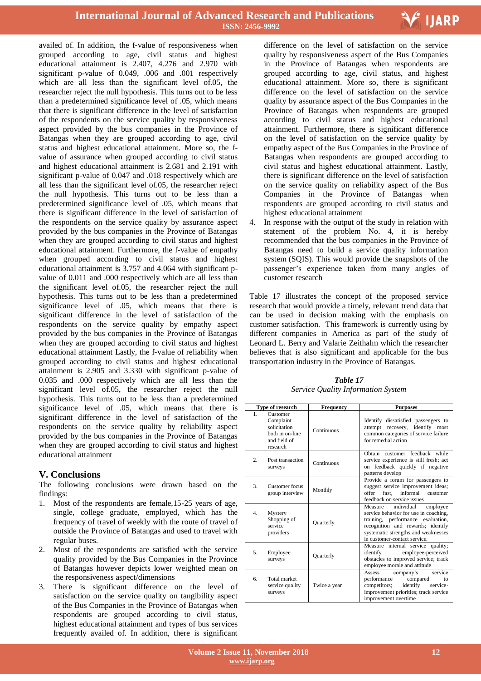

availed of. In addition, the f-value of responsiveness when grouped according to age, civil status and highest educational attainment is 2.407, 4.276 and 2.970 with significant p-value of 0.049, .006 and .001 respectively which are all less than the significant level of.05, the researcher reject the null hypothesis. This turns out to be less than a predetermined significance level of .05, which means that there is significant difference in the level of satisfaction of the respondents on the service quality by responsiveness aspect provided by the bus companies in the Province of Batangas when they are grouped according to age, civil status and highest educational attainment. More so, the fvalue of assurance when grouped according to civil status and highest educational attainment is 2.681 and 2.191 with significant p-value of 0.047 and .018 respectively which are all less than the significant level of.05, the researcher reject the null hypothesis. This turns out to be less than a predetermined significance level of .05, which means that there is significant difference in the level of satisfaction of the respondents on the service quality by assurance aspect provided by the bus companies in the Province of Batangas when they are grouped according to civil status and highest educational attainment. Furthermore, the f-value of empathy when grouped according to civil status and highest educational attainment is 3.757 and 4.064 with significant pvalue of 0.011 and .000 respectively which are all less than the significant level of.05, the researcher reject the null hypothesis. This turns out to be less than a predetermined significance level of .05, which means that there is significant difference in the level of satisfaction of the respondents on the service quality by empathy aspect provided by the bus companies in the Province of Batangas when they are grouped according to civil status and highest educational attainment Lastly, the f-value of reliability when grouped according to civil status and highest educational attainment is 2.905 and 3.330 with significant p-value of 0.035 and .000 respectively which are all less than the significant level of.05, the researcher reject the null hypothesis. This turns out to be less than a predetermined significance level of .05, which means that there is significant difference in the level of satisfaction of the respondents on the service quality by reliability aspect provided by the bus companies in the Province of Batangas when they are grouped according to civil status and highest educational attainment

## **V. Conclusions**

The following conclusions were drawn based on the findings:

- 1. Most of the respondents are female,15-25 years of age, single, college graduate, employed, which has the frequency of travel of weekly with the route of travel of outside the Province of Batangas and used to travel with regular buses.
- 2. Most of the respondents are satisfied with the service quality provided by the Bus Companies in the Province of Batangas however depicts lower weighted mean on the responsiveness aspect/dimensions
- 3. There is significant difference on the level of satisfaction on the service quality on tangibility aspect of the Bus Companies in the Province of Batangas when respondents are grouped according to civil status, highest educational attainment and types of bus services frequently availed of. In addition, there is significant

 difference on the level of satisfaction on the service quality by responsiveness aspect of the Bus Companies in the Province of Batangas when respondents are grouped according to age, civil status, and highest educational attainment. More so, there is significant difference on the level of satisfaction on the service quality by assurance aspect of the Bus Companies in the Province of Batangas when respondents are grouped according to civil status and highest educational attainment. Furthermore, there is significant difference on the level of satisfaction on the service quality by empathy aspect of the Bus Companies in the Province of Batangas when respondents are grouped according to civil status and highest educational attainment. Lastly, there is significant difference on the level of satisfaction on the service quality on reliability aspect of the Bus Companies in the Province of Batangas when respondents are grouped according to civil status and highest educational attainment

4. In response with the output of the study in relation with statement of the problem No. 4, it is hereby recommended that the bus companies in the Province of Batangas need to build a service quality information system (SQIS). This would provide the snapshots of the passenger's experience taken from many angles of customer research

Table 17 illustrates the concept of the proposed service research that would provide a timely, relevant trend data that can be used in decision making with the emphasis on customer satisfaction. This framework is currently using by different companies in America as part of the study of Leonard L. Berry and Valarie Zeithalm which the researcher believes that is also significant and applicable for the bus transportation industry in the Province of Batangas.

*Table 17 Service Quality Information System*

|                | Type of research                                                                     | <b>Frequency</b> | <b>Purposes</b>                                                                                                                                                                                                             |
|----------------|--------------------------------------------------------------------------------------|------------------|-----------------------------------------------------------------------------------------------------------------------------------------------------------------------------------------------------------------------------|
| $\mathbf{1}$   | Customer<br>Complaint<br>solicitation<br>both in on-line<br>and field of<br>research | Continuous       | Identify dissatisfied passengers to<br>attempt recovery, identify most<br>common categories of service failure<br>for remedial action                                                                                       |
| $\mathfrak{D}$ | Post transaction<br>surveys                                                          | Continuous       | Obtain customer feedback while<br>service experience is still fresh; act<br>feedback quickly if negative<br><sub>on</sub><br>patterns develop                                                                               |
| 3.             | Customer focus<br>group interview                                                    | Monthly          | Provide a forum for passengers to<br>suggest service improvement ideas;<br>fast. informal<br>offer<br>customer<br>feedback on service issues                                                                                |
| $\mathbf{4}$ . | Mystery<br>Shopping of<br>service<br>providers                                       | <b>Quarterly</b> | Measure<br>individual<br>employee<br>service behavior for use in coaching,<br>training, performance evaluation,<br>recognition and rewards; identify<br>systematic strengths and weaknesses<br>in customer-contact service. |
| 5.             | Employee<br>surveys                                                                  | <b>Quarterly</b> | Measure internal service quality;<br>employee-perceived<br>identify<br>obstacles to improved service; track<br>employee morale and attitude                                                                                 |
| б.             | Total market<br>service quality<br>surveys                                           | Twice a year     | service<br>Assess<br>company's<br>performance compared<br>to<br>identify<br>competitors;<br>service-<br>improvement priorities; track service<br>improvement overtime                                                       |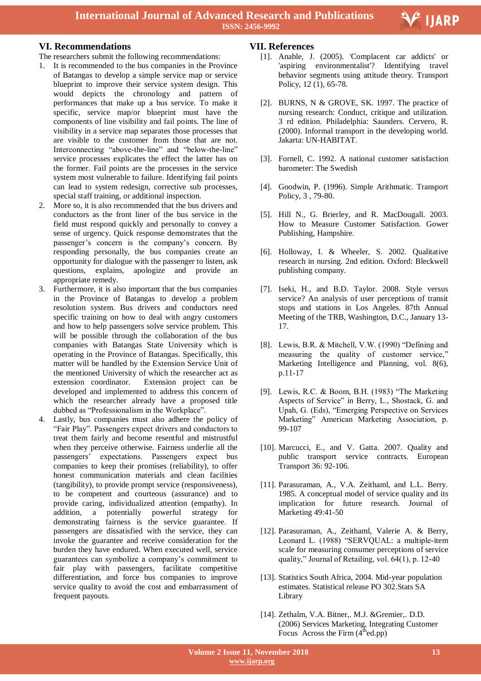## **VI. Recommendations**

- The researchers submit the following recommendations:
- 1. It is recommended to the bus companies in the Province of Batangas to develop a simple service map or service blueprint to improve their service system design. This would depicts the chronology and pattern of performances that make up a bus service. To make it specific, service map/or blueprint must have the components of line visibility and fail points. The line of visibility in a service map separates those processes that are visible to the customer from those that are not. Interconnecting "above-the-line" and "below-the-line" service processes explicates the effect the latter has on the former. Fail points are the processes in the service system most vulnerable to failure. Identifying fail points can lead to system redesign, corrective sub processes, special staff training, or additional inspection.
- 2. More so, it is also recommended that the bus drivers and conductors as the front liner of the bus service in the field must respond quickly and personally to convey a sense of urgency. Quick response demonstrates that the passenger's concern is the company's concern. By responding personally, the bus companies create an opportunity for dialogue with the passenger to listen, ask questions, explains, apologize and provide an appropriate remedy.
- 3. Furthermore, it is also important that the bus companies in the Province of Batangas to develop a problem resolution system. Bus drivers and conductors need specific training on how to deal with angry customers and how to help passengers solve service problem. This will be possible through the collaboration of the bus companies with Batangas State University which is operating in the Province of Batangas. Specifically, this matter will be handled by the Extension Service Unit of the mentioned University of which the researcher act as extension coordinator. Extension project can be developed and implemented to address this concern of which the researcher already have a proposed title dubbed as "Professionalism in the Workplace".
- 4. Lastly, bus companies must also adhere the policy of "Fair Play". Passengers expect drivers and conductors to treat them fairly and become resentful and mistrustful when they perceive otherwise. Fairness underlie all the passengers' expectations. Passengers expect bus companies to keep their promises (reliability), to offer honest communication materials and clean facilities (tangibility), to provide prompt service (responsiveness), to be competent and courteous (assurance) and to provide caring, individualized attention (empathy). In addition, a potentially powerful strategy for demonstrating fairness is the service guarantee. If passengers are dissatisfied with the service, they can invoke the guarantee and receive consideration for the burden they have endured. When executed well, service guarantees can symbolize a company's commitment to fair play with passengers, facilitate competitive differentiation, and force bus companies to improve service quality to avoid the cost and embarrassment of frequent payouts.

## **VII. References**

[1]. Anable, J. (2005). 'Complacent car addicts' or 'aspiring environmentalist'? Identifying travel behavior segments using attitude theory. Transport Policy, 12 (1), 65-78.

Ξ

V IJARP

- [2]. BURNS, N & GROVE, SK. 1997. The practice of nursing research: Conduct, critique and utilization. 3 rd edition. Philadelphia: Saunders. Cervero, R. (2000). Informal transport in the developing world. Jakarta: UN-HABITAT.
- [3]. Fornell, C. 1992. A national customer satisfaction barometer: The Swedish
- [4]. Goodwin, P. (1996). Simple Arithmatic. Transport Policy, 3 , 79-80.
- [5]. Hill N., G. Brierley, and R. MacDougall. 2003. How to Measure Customer Satisfaction. Gower Publishing, Hampshire.
- [6]. Holloway, I. & Wheeler, S. 2002. Qualitative research in nursing. 2nd edition. Oxford: Bleckwell publishing company.
- [7]. Iseki, H., and B.D. Taylor. 2008. Style versus service? An analysis of user perceptions of transit stops and stations in Los Angeles. 87th Annual Meeting of the TRB, Washington, D.C., January 13- 17.
- [8]. Lewis, B.R. & Mitchell, V.W. (1990) "Defining and measuring the quality of customer service," Marketing Intelligence and Planning, vol. 8(6), p.11-17
- [9]. Lewis, R.C. & Boom, B.H. (1983) "The Marketing Aspects of Service" in Berry, L., Shostack, G. and Upah, G. (Eds), "Emerging Perspective on Services Marketing" American Marketing Association, p. 99-107
- [10]. Marcucci, E., and V. Gatta. 2007. Quality and public transport service contracts. European Transport 36: 92-106.
- [11]. Parasuraman, A., V.A. Zeithaml, and L.L. Berry. 1985. A conceptual model of service quality and its implication for future research. Journal of Marketing 49:41-50
- [12]. Parasuraman, A., Zeithaml, Valerie A. & Berry, Leonard L. (1988) "SERVQUAL: a multiple-item scale for measuring consumer perceptions of service quality," Journal of Retailing, vol. 64(1), p. 12-40
- [13]. Statistics South Africa, 2004. Mid-year population estimates. Statistical release PO 302.Stats SA Library
- [14]. Zethalm, V.A. Bitner,. M.J. &Gremier,. D.D. (2006) Services Marketing, Integrating Customer Focus Across the Firm  $(4<sup>th</sup>ed(pp))$